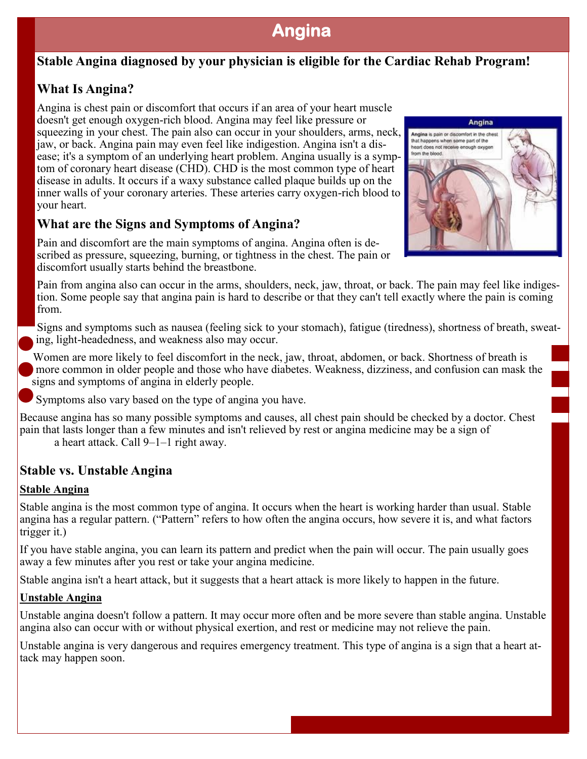# **Angina**

## **Stable Angina diagnosed by your physician is eligible for the Cardiac Rehab Program!**

## **What Is Angina?**

Angina is chest pain or discomfort that occurs if an area of your heart muscle doesn't get enough oxygen-rich blood. Angina may feel like pressure or squeezing in your chest. The pain also can occur in your shoulders, arms, neck, jaw, or back. Angina pain may even feel like indigestion. Angina isn't a disease; it's a symptom of an underlying heart problem. Angina usually is a symptom of coronary heart disease (CHD). CHD is the most common type of heart disease in adults. It occurs if a waxy substance called plaque builds up on the inner walls of your coronary arteries. These arteries carry oxygen-rich blood to your heart.

## **What are the Signs and Symptoms of Angina?**

Pain and discomfort are the main symptoms of angina. Angina often is described as pressure, squeezing, burning, or tightness in the chest. The pain or discomfort usually starts behind the breastbone.

Pain from angina also can occur in the arms, shoulders, neck, jaw, throat, or back. The pain may feel like indigestion. Some people say that angina pain is hard to describe or that they can't tell exactly where the pain is coming from.

Signs and symptoms such as nausea (feeling sick to your stomach), fatigue (tiredness), shortness of breath, sweating, light-headedness, and weakness also may occur.

Women are more likely to feel discomfort in the neck, jaw, throat, abdomen, or back. Shortness of breath is more common in older people and those who have diabetes. Weakness, dizziness, and confusion can mask the signs and symptoms of angina in elderly people.

Symptoms also vary based on the type of angina you have.

Because angina has so many possible symptoms and causes, all chest pain should be checked by a doctor. Chest pain that lasts longer than a few minutes and isn't relieved by rest or angina medicine may be a sign of a heart attack. Call 9–1–1 right away.

## **Stable vs. Unstable Angina**

#### **Stable Angina**

Stable angina is the most common type of angina. It occurs when the heart is working harder than usual. Stable angina has a regular pattern. ("Pattern" refers to how often the angina occurs, how severe it is, and what factors trigger it.)

If you have stable angina, you can learn its pattern and predict when the pain will occur. The pain usually goes away a few minutes after you rest or take your angina medicine.

Stable angina isn't a heart attack, but it suggests that a heart attack is more likely to happen in the future.

#### **Unstable Angina**

Unstable angina doesn't follow a pattern. It may occur more often and be more severe than stable angina. Unstable angina also can occur with or without physical exertion, and rest or medicine may not relieve the pain.

Unstable angina is very dangerous and requires emergency treatment. This type of angina is a sign that a heart attack may happen soon.